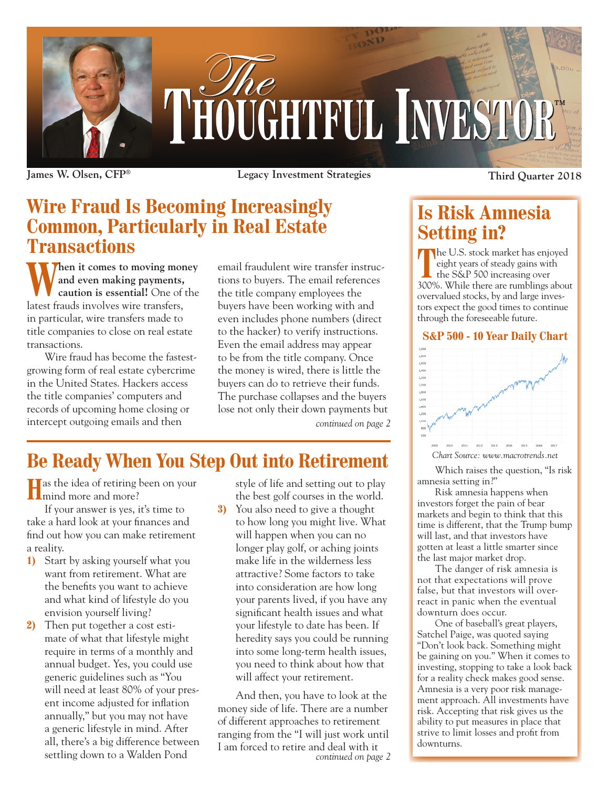

**Transactions**

**James W. Olsen, CFP® Legacy Investment Strategies Third Quarter 2018**

## **Wire Fraud Is Becoming Increasingly Common, Particularly in Real Estate**

**When it comes to moving money**<br> **Caution is essential!** One of the **and even making payments, caution is essential!** One of the latest frauds involves wire transfers, in particular, wire transfers made to title companies to close on real estate transactions.

Wire fraud has become the fastestgrowing form of real estate cybercrime in the United States. Hackers access the title companies' computers and records of upcoming home closing or intercept outgoing emails and then

email fraudulent wire transfer instructions to buyers. The email references the title company employees the buyers have been working with and even includes phone numbers (direct to the hacker) to verify instructions. Even the email address may appear to be from the title company. Once the money is wired, there is little the buyers can do to retrieve their funds. The purchase collapses and the buyers lose not only their down payments but

*continued on page 2*

# **Be Ready When You Step Out into Retirement**

**H** as the idea of retiring been on your I mind more and more?

If your answer is yes, it's time to take a hard look at your finances and find out how you can make retirement a reality.

- **1)** Start by asking yourself what you want from retirement. What are the benefits you want to achieve and what kind of lifestyle do you envision yourself living?
- **2)** Then put together a cost estimate of what that lifestyle might require in terms of a monthly and annual budget. Yes, you could use generic guidelines such as "You will need at least 80% of your present income adjusted for inflation annually," but you may not have a generic lifestyle in mind. After all, there's a big difference between settling down to a Walden Pond

style of life and setting out to play the best golf courses in the world.

**3)** You also need to give a thought to how long you might live. What will happen when you can no longer play golf, or aching joints make life in the wilderness less attractive? Some factors to take into consideration are how long your parents lived, if you have any significant health issues and what your lifestyle to date has been. If heredity says you could be running into some long-term health issues, you need to think about how that will affect your retirement.

And then, you have to look at the money side of life. There are a number of different approaches to retirement ranging from the "I will just work until I am forced to retire and deal with it *continued on page 2*

### **Is Risk Amnesia Setting in?**

**T** The U.S. stock market has enjoyed eight years of steady gains with the S&P 500 increasing over 300%. While there are rumblings about overvalued stocks, by and large investors expect the good times to continue through the foreseeable future.

#### **S&P 500 - 10 Year Daily Chart**



Which raises the question, "Is risk amnesia setting in?"

Risk amnesia happens when investors forget the pain of bear markets and begin to think that this time is different, that the Trump bump will last, and that investors have gotten at least a little smarter since the last major market drop.

The danger of risk amnesia is not that expectations will prove false, but that investors will overreact in panic when the eventual downturn does occur.

One of baseball's great players, Satchel Paige, was quoted saying "Don't look back. Something might be gaining on you." When it comes to investing, stopping to take a look back for a reality check makes good sense. Amnesia is a very poor risk management approach. All investments have risk. Accepting that risk gives us the ability to put measures in place that strive to limit losses and profit from downturns.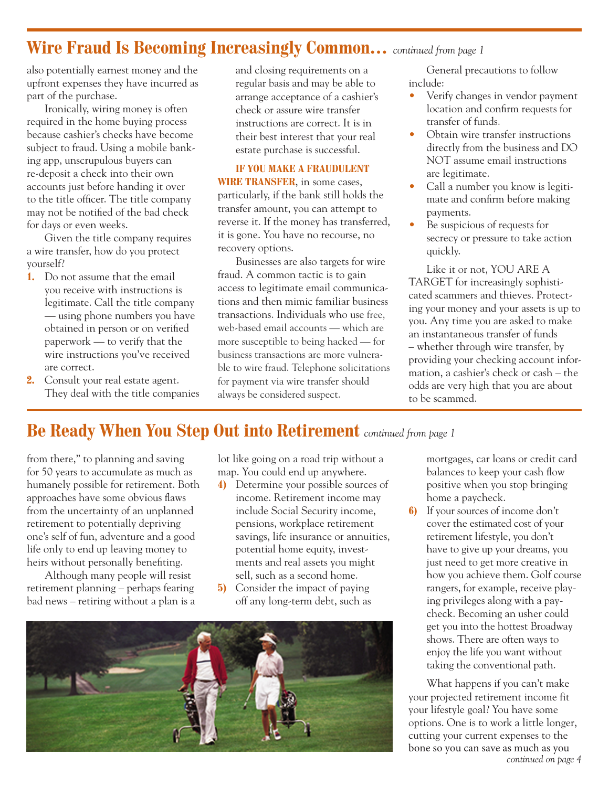#### **Wire Fraud Is Becoming Increasingly Common…** *continued from page 1*

also potentially earnest money and the upfront expenses they have incurred as part of the purchase.

Ironically, wiring money is often required in the home buying process because cashier's checks have become subject to fraud. Using a mobile banking app, unscrupulous buyers can re-deposit a check into their own accounts just before handing it over to the title officer. The title company may not be notified of the bad check for days or even weeks.

Given the title company requires a wire transfer, how do you protect yourself?

- **1.** Do not assume that the email you receive with instructions is legitimate. Call the title company — using phone numbers you have obtained in person or on verified paperwork — to verify that the wire instructions you've received are correct.
- **2.** Consult your real estate agent. They deal with the title companies

and closing requirements on a regular basis and may be able to arrange acceptance of a cashier's check or assure wire transfer instructions are correct. It is in their best interest that your real estate purchase is successful.

**IF YOU MAKE A FRAUDULENT WIRE TRANSFER**, in some cases, particularly, if the bank still holds the transfer amount, you can attempt to reverse it. If the money has transferred, it is gone. You have no recourse, no recovery options.

Businesses are also targets for wire fraud. A common tactic is to gain access to legitimate email communications and then mimic familiar business transactions. Individuals who use free, web-based email accounts — which are more susceptible to being hacked — for business transactions are more vulnerable to wire fraud. Telephone solicitations for payment via wire transfer should always be considered suspect.

General precautions to follow include:

- Verify changes in vendor payment location and confirm requests for transfer of funds.
- Obtain wire transfer instructions directly from the business and DO NOT assume email instructions are legitimate.
- Call a number you know is legitimate and confirm before making payments.
- Be suspicious of requests for secrecy or pressure to take action quickly.

Like it or not, YOU ARE A TARGET for increasingly sophisticated scammers and thieves. Protecting your money and your assets is up to you. Any time you are asked to make an instantaneous transfer of funds – whether through wire transfer, by providing your checking account information, a cashier's check or cash – the odds are very high that you are about to be scammed.

#### **Be Ready When You Step Out into Retirement** *continued from page 1*

from there," to planning and saving for 50 years to accumulate as much as humanely possible for retirement. Both approaches have some obvious flaws from the uncertainty of an unplanned retirement to potentially depriving one's self of fun, adventure and a good life only to end up leaving money to heirs without personally benefiting.

Although many people will resist retirement planning – perhaps fearing bad news – retiring without a plan is a lot like going on a road trip without a map. You could end up anywhere.

- **4)** Determine your possible sources of income. Retirement income may include Social Security income, pensions, workplace retirement savings, life insurance or annuities, potential home equity, investments and real assets you might sell, such as a second home.
- **5)** Consider the impact of paying off any long-term debt, such as



mortgages, car loans or credit card balances to keep your cash flow positive when you stop bringing home a paycheck.

**6)** If your sources of income don't cover the estimated cost of your retirement lifestyle, you don't have to give up your dreams, you just need to get more creative in how you achieve them. Golf course rangers, for example, receive playing privileges along with a paycheck. Becoming an usher could get you into the hottest Broadway shows. There are often ways to enjoy the life you want without taking the conventional path.

What happens if you can't make your projected retirement income fit your lifestyle goal? You have some options. One is to work a little longer, cutting your current expenses to the bone so you can save as much as you *continued on page 4*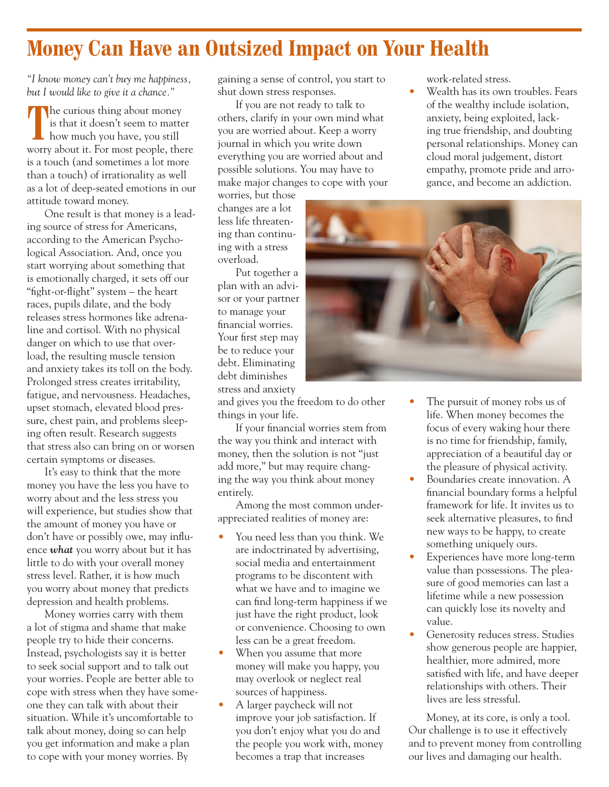# **Money Can Have an Outsized Impact on Your Health**

*"I know money can't buy me happiness, but I would like to give it a chance."*

The curious thing about money is that it doesn't seem to matter how much you have, you still worry about it. For most people, there is a touch (and sometimes a lot more than a touch) of irrationality as well as a lot of deep-seated emotions in our attitude toward money.

One result is that money is a leading source of stress for Americans, according to the American Psychological Association. And, once you start worrying about something that is emotionally charged, it sets off our "fight-or-flight" system – the heart races, pupils dilate, and the body releases stress hormones like adrenaline and cortisol. With no physical danger on which to use that overload, the resulting muscle tension and anxiety takes its toll on the body. Prolonged stress creates irritability, fatigue, and nervousness. Headaches, upset stomach, elevated blood pressure, chest pain, and problems sleeping often result. Research suggests that stress also can bring on or worsen certain symptoms or diseases.

It's easy to think that the more money you have the less you have to worry about and the less stress you will experience, but studies show that the amount of money you have or don't have or possibly owe, may influence *what* you worry about but it has little to do with your overall money stress level. Rather, it is how much you worry about money that predicts depression and health problems.

Money worries carry with them a lot of stigma and shame that make people try to hide their concerns. Instead, psychologists say it is better to seek social support and to talk out your worries. People are better able to cope with stress when they have someone they can talk with about their situation. While it's uncomfortable to talk about money, doing so can help you get information and make a plan to cope with your money worries. By

gaining a sense of control, you start to shut down stress responses.

If you are not ready to talk to others, clarify in your own mind what you are worried about. Keep a worry journal in which you write down everything you are worried about and possible solutions. You may have to make major changes to cope with your

worries, but those changes are a lot less life threatening than continuing with a stress overload.

Put together a plan with an advisor or your partner to manage your financial worries. Your first step may be to reduce your debt. Eliminating debt diminishes stress and anxiety

and gives you the freedom to do other things in your life.

If your financial worries stem from the way you think and interact with money, then the solution is not "just add more," but may require changing the way you think about money entirely.

Among the most common underappreciated realities of money are:

- You need less than you think. We are indoctrinated by advertising, social media and entertainment programs to be discontent with what we have and to imagine we can find long-term happiness if we just have the right product, look or convenience. Choosing to own less can be a great freedom.
- When you assume that more money will make you happy, you may overlook or neglect real sources of happiness.
- A larger paycheck will not improve your job satisfaction. If you don't enjoy what you do and the people you work with, money becomes a trap that increases

work-related stress.

Wealth has its own troubles. Fears of the wealthy include isolation, anxiety, being exploited, lacking true friendship, and doubting personal relationships. Money can cloud moral judgement, distort empathy, promote pride and arrogance, and become an addiction.



- The pursuit of money robs us of life. When money becomes the focus of every waking hour there is no time for friendship, family, appreciation of a beautiful day or the pleasure of physical activity.
- Boundaries create innovation. A financial boundary forms a helpful framework for life. It invites us to seek alternative pleasures, to find new ways to be happy, to create something uniquely ours.
- Experiences have more long-term value than possessions. The pleasure of good memories can last a lifetime while a new possession can quickly lose its novelty and value.
- Generosity reduces stress. Studies show generous people are happier, healthier, more admired, more satisfied with life, and have deeper relationships with others. Their lives are less stressful.

Money, at its core, is only a tool. Our challenge is to use it effectively and to prevent money from controlling our lives and damaging our health.